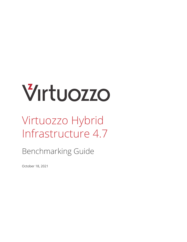# Virtuozzo

# Virtuozzo Hybrid Infrastructure 4.7

Benchmarking Guide

October 18, 2021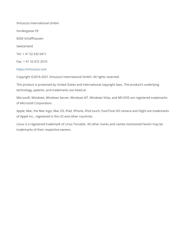Virtuozzo International GmbH Vordergasse 59 8200 Schaffhausen Switzerland Tel: + 41 52 632 0411 Fax: + 41 52 672 2010 <https://virtuozzo.com>

Copyright ©2016-2021 Virtuozzo International GmbH. All rights reserved.

This product is protected by United States and international copyright laws. The product's underlying technology, patents, and trademarks are listed at [.](https://www.virtuozzo.com/legal.html)

Microsoft, Windows, Windows Server, Windows NT, Windows Vista, and MS-DOS are registered trademarks of Microsoft Corporation.

Apple, Mac, the Mac logo, Mac OS, iPad, iPhone, iPod touch, FaceTime HD camera and iSight are trademarks of Apple Inc., registered in the US and other countries.

Linux is a registered trademark of Linus Torvalds. All other marks and names mentioned herein may be trademarks of their respective owners.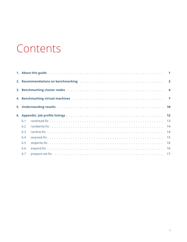# Contents

| 6.1 |    |
|-----|----|
| 6.2 | 14 |
| 6.3 |    |
| 6.4 | 15 |
| 6.5 |    |
| 6.6 |    |
| 6.7 |    |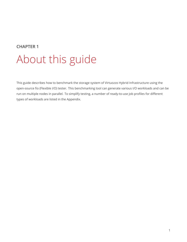### <span id="page-3-0"></span>**CHAPTER 1** About this guide

This guide describes how to benchmark the storage system of Virtuozzo Hybrid Infrastructure using the open-source fio (Flexible I/O) tester. This benchmarking tool can generate various I/O workloads and can be run on multiple nodes in parallel. To simplify testing, a number of ready-to-use job profiles for different types of workloads are listed in the Appendix.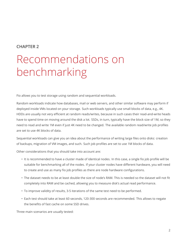## <span id="page-4-0"></span>Recommendations on benchmarking

Fio allows you to test storage using random and sequential workloads.

Random workloads indicate how databases, mail or web servers, and other similar software may perform if deployed inside VMs located on your storage. Such workloads typically use small blocks of data, e.g., 4K. HDDs are usually not very efficient at random reads/writes, because in such cases their read-and-write heads have to spend time on moving around the disk a lot. SSDs, in turn, typically have the block size of 1M, so they need to read and write 1M even if just 4K need to be changed. The available random read/write job profiles are set to use 4K blocks of data.

Sequential workloads can give you an idea about the performance of writing large files onto disks: creation of backups, migration of VM images, and such. Such job profiles are set to use 1M blocks of data.

Other considerations that you should take into account are:

- It is recommended to have a cluster made of identical nodes. In this case, a single fio job profile will be suitable for benchmarking all of the nodes. If your cluster nodes have different hardware, you will need to create and use as many fio job profiles as there are node hardware configurations.
- The dataset needs to be at least double the size of node's RAM. This is needed so the dataset will not fit completely into RAM and be cached, allowing you to measure disk's actual read performance.
- To improve validity of results, 3-5 iterations of the same test need to be performed.
- Each test should take at least 60 seconds, 120-300 seconds are recommended. This allows to negate the benefits of fast cache on some SSD drives.

Three main scenarios are usually tested: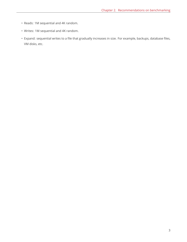- Reads: 1M sequential and 4K random.
- Writes: 1M sequential and 4K random.
- Expand: sequential writes to a file that gradually increases in size. For example, backups, database files, VM disks, etc.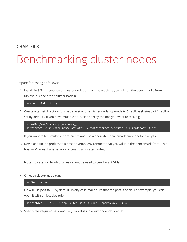# <span id="page-6-0"></span>Benchmarking cluster nodes

Prepare for testing as follows:

1. Install fio 3.3 or newer on all cluster nodes and on the machine you will run the benchmarks from (unless it is one of the cluster nodes):

# yum install fio -y

2. Create a target directory for the dataset and set its redundancy mode to 3 replicas (instead of 1 replica set by default). If you have multiple tiers, also specify the one you want to test, e.g., 1.

```
# mkdir /mnt/vstorage/benchmark_dir
# vstorage -c <cluster_name> set-attr -R /mnt/vstorage/benchmark_dir replicas=3 tier=1
```
If you want to test multiple tiers, create and use a dedicated benchmark directory for every tier.

3. Download fio job profiles to a host or virtual environment that you will run the benchmark from. This host or VE must have network access to all cluster nodes.

**Note:** Cluster node job profiles cannot be used to benchmark VMs.

4. On each cluster node run:

# fio --server

Fio will use port 8765 by default. In any case make sure that the port is open. For example, you can open it with an iptables rule:

# iptables -I INPUT -p tcp -m tcp -m multiport --dports 8765 -j ACCEPT

5. Specify the required size and numjobs values in every node job profile: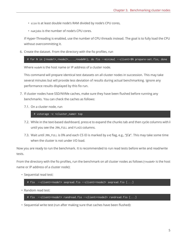- size is at least double node's RAM divided by node's CPU cores,
- numjobs is the number of node's CPU cores.

If Hyper-Threading is enabled, use the number of CPU threads instead. The goal is to fully load the CPU without overcommitting it.

6. Create the dataset. From the directory with the fio profiles, run

# for N in {<node1>,<node2>,...,<nodeN>}; do fio --minimal --client=\$N prepare-set.fio; done

Where nodeN is the host name or IP address of a cluster node.

This command will prepare identical test datasets on all cluster nodes in succession. This may take several minutes but will provide less deviation of results during actual benchmarking. Ignore any performance results displayed by this fio run.

- 7. If cluster nodes have SSD/NVMe caches, make sure they have been flushed before running any benchmarks. You can check the caches as follows:
	- 7.1. On a cluster node, run

# vstorage -c <cluster\_name> top

- 7.2. While in the text-based dashboard, press **c** to expand the chunks tab and then cycle columns with **i** until you see the JRN\_FULL and FLAGS columns.
- 7.3. Wait until JRN\_FULL is 0% and each CS ID is marked by a **c** flag, e.g., "JC**c**". This may take some time when the cluster is not under I/O load.

Now you are ready to run the benchmark. It is recommended to run read tests before write and read/write tests.

From the directory with the fio profiles, run the benchmark on all cluster nodes as follows (<nodeN> is the host name or IP address of a cluster node):

• Sequential read test:

# fio --client=<node1> seqread.fio --client=<node2> seqread.fio [...]

• Random read test:

# fio --client=<node1> randread.fio --client=<node2> randread.fio [...]

• Sequential write test (run after making sure that caches have been flushed):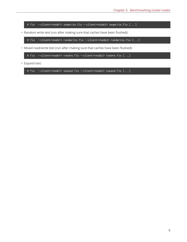# fio --client=<node1> seqwrite.fio --client=<node2> seqwrite.fio [...]

• Random write test (run after making sure that caches have been flushed):

# fio --client=<node1> randwrite.fio --client=<node2> randwrite.fio [...]

• Mixed read/write test (run after making sure that caches have been flushed):

# fio --client=<node1> randrw.fio --client=<node2> randrw.fio [...]

• Expand test:

# fio --client=<node1> expand.fio --client=<node2> expand.fio [...]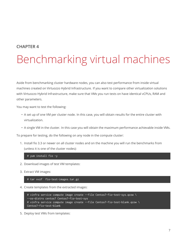# <span id="page-9-0"></span>Benchmarking virtual machines

Aside from benchmarking cluster hardware nodes, you can also test performance from inside virtual machines created on Virtuozzo Hybrid Infrastructure. If you want to compare other virtualization solutions with Virtuozzo Hybrid Infrastructure, make sure that VMs you run tests on have identical vCPUs, RAM and other parameters.

You may want to test the following:

- A set up of one VM per cluster node. In this case, you will obtain results for the entire cluster with virtualization.
- A single VM in the cluster. In this case you will obtain the maximum performance achievable inside VMs.

To prepare for testing, do the following on any node in the compute cluster:

1. Install fio 3.3 or newer on all cluster nodes and on the machine you will run the benchmarks from (unless it is one of the cluster nodes):

# yum install fio -y

- 2. Download images of test VM templates:
- 3. Extract VM images:

# tar xvzf fio-test-images.tar.gz

4. Create templates from the extracted images:

```
# vinfra service compute image create --file Centos7-fio-test-sys.qcow \
--os-distro centos7 Centos7-fio-test-sys
# vinfra service compute image create --file Centos7-fio-test-blank.qcow \
Centos7-fio-test-blank
```
5. Deploy test VMs from templates: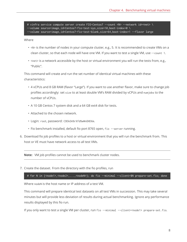# vinfra service compute server create FIO-Centos7 --count <N> --network id=<net> \ --volume source=image,id=Centos7-fio-test-sys,size=10,boot-index=0 \ --volume source=image,id=Centos7-fio-test-blank,size=64,boot-index=1 --flavor large

Where

- <N> is the number of nodes in your compute cluster, e.g., 5. It is recommended to create VMs on a clean cluster, so that each node will have one VM. If you want to test a single VM, use --count 1.
- <net> is a network accessible by the host or virtual environment you will run the tests from, e.g., "Public".

This command will create and run the set number of identical virtual machines with these characteristics:

- 4 vCPUs and 8 GB RAM (flavor "Large"). If you want to use another flavor, make sure to change job profiles accordingly: set size to at least double VM's RAM divided by vCPUs and numjobs to the number of vCPUs.
- A 10 GB Centos 7 system disk and a 64 GB ext4 disk for tests.
- Attached to the chosen network.
- Login: root, password: CDEkOA%rXfd%wWnOHDXm.
- Fio benchmark installed, default fio port 8765 open, fio --server running.
- 6. Download fio job profiles to a host or virtual environment that you will run the benchmark from. This host or VE must have network access to all test VMs.

**Note:** VM job profiles cannot be used to benchmark cluster nodes.

7. Create the dataset. From the directory with the fio profiles, run

# for N in {<node1>,<node2>,...,<nodeN>}; do fio --minimal --client=\$N prepare-set.fio; done

Where nodeN is the host name or IP address of a test VM.

This command will prepare identical test datasets on all test VMs in succession. This may take several minutes but will provide less deviation of results during actual benchmarking. Ignore any performance results displayed by this fio run.

If you only want to test a single VM per cluster, run fio --minimal --client=<node1> prepare-set.fio.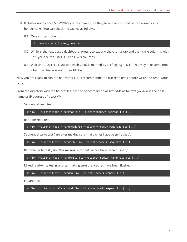- 8. If cluster nodes have SSD/NVMe caches, make sure they have been flushed before running any benchmarks. You can check the caches as follows:
	- 8.1. On a cluster node, run

# vstorage -c <cluster\_name> top

- 8.2. While in the text-based dashboard, press **c** to expand the chunks tab and then cycle columns with **i** until you see the JRN\_FULL and FLAGS columns.
- 8.3. Wait until JRN\_FULL is 0% and each CS ID is marked by a **c** flag, e.g., "JC**c**". This may take some time when the cluster is not under I/O load.

Now you are ready to run the benchmark. It is recommended to run read tests before write and read/write tests.

From the directory with the fio profiles, run the benchmark on all test VMs as follows (<nodeN> is the host name or IP address of a test VM):

• Sequential read test:

```
# fio --client=<node1> seqread.fio --client=<node2> seqread.fio [...]
```
• Random read test:

```
# fio --client=<node1> randread.fio --client=<node2> randread.fio [...]
```
• Sequential write test (run after making sure that caches have been flushed):

# fio --client=<node1> seqwrite.fio --client=<node2> seqwrite.fio [...]

• Random write test (run after making sure that caches have been flushed):

```
# fio --client=<node1> randwrite.fio --client=<node2> randwrite.fio [...]
```
• Mixed read/write test (run after making sure that caches have been flushed):

```
# fio --client=<node1> randrw.fio --client=<node2> randrw.fio [...]
```
• Expand test:

# fio --client=<node1> expand.fio --client=<node2> expand.fio [...]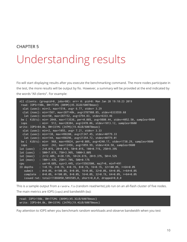# <span id="page-12-0"></span>Understanding results

Fio will start displaying results after you execute the benchmarking command. The more nodes participate in the test, the more results will be output by fio. However, a summary will be provided at the end indicated by the words "All clients". For example:

```
All clients: (groupid=0, jobs=80): err= 0: pid=0: Mon Jan 28 19:18:23 2019
 read: IOPS=198k, BW=772Mi (809M)(45.3GiB/60078msec)
 slat (usec): min=2, max=1510, avg= 6.77, stdev= 3.29
 clat (nsec): min=1567, max=287148k, avg=3787988.85, stdev=6333559.68
   lat (usec): min=50, max=287152, avg=3794.83, stdev=6333.46
bw ( KiB/s): min= 2048, max=113536, per=0.08%, avg=9880.44, stdev=4052.50, samples=9600
 iops : min= 512, max=28384, avg=2470.06, stdev=1013.12, samples=9600
write: IOPS=84.8k, BW=331Mi (347M)(19.4GiB/60078msec)
 slat (usec): min=2, max=1055, avg= 7.21, stdev= 3.33
 clat (usec): min=138, max=498280, avg=21347.45, stdev=40779.33
  lat (usec): min=144, max=498296, avg=21354.72, stdev=40779.01
bw ( KiB/s): min= 968, max=49824, per=0.08%, avg=4240.17, stdev=1738.29, samples=9600
iops : min= 242, max=12456, avg=1059.99, stdev=434.58, samples=9600
lat (usec) : 2=0.01%, \sqrt{20}=0.01\%, 50=0.01%, 100=0.71%, 250=9.39%
lat (usec) : 500=7.81%, 750=3.96%, 1000=3.80%
lat (msec) : 2=12.40%, 4=20.13%, 10=24.61%, 20=9.37%, 50=4.52%
lat (msec) : 100=1.43%, 250=1.70%, 500=0.17%
cpu : usr=0.68%, sys=3.44%, ctx=15563500, majf=0, minf=491
IO depths : 1=0.1%, 2=0.1%, 4=0.1%, 8=0.1%, 16=0.1%, 32=100.0%, >=64=0.0%
  submit : 0=0.0\%, 4=100.0\%, 8=0.0\%, 16=0.0\%, 32=0.0\%, 64=0.0\%, >64=0.0\%complete : 0=0.0\%, 4=100.0\%, 8=0.0\%, 16=0.0\%, 32=0.1\%, 64=0.0\%, >64=0.0\%issued rwt: total=11866050,5093585,0, short=0,0,0, dropped=0,0,0
```
This is a sample output from a randrw.fio (random read/write) job run on an all-flash cluster of five nodes. The main metrics are IOPS (iops) and bandwidth (bw):

```
read: IOPS=198k, BW=772Mi (809M)(45.3GiB/60078msec)
write: IOPS=84.8k, BW=331Mi (347M)(19.4GiB/60078msec)
```
Pay attention to IOPS when you benchmark random workloads and observe bandwidth when you test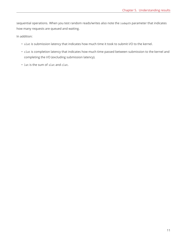sequential operations. When you test random reads/writes also note the iodepth parameter that indicates how many requests are queued and waiting.

In addition:

- slat is submission latency that indicates how much time it took to submit I/O to the kernel.
- clat is completion latency that indicates how much time passed between submission to the kernel and completing the I/O (excluding submission latency).
- lat is the sum of slat and clat.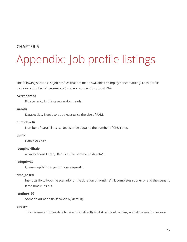# <span id="page-14-0"></span>Appendix: Job profile listings

The following sections list job profiles that are made available to simplify benchmarking. Each profile contains a number of parameters (on the example of randread.fio):

#### **rw=randread**

Fio scenario. In this case, random reads.

#### **size=8g**

Dataset size. Needs to be at least twice the size of RAM.

#### **numjobs=16**

Number of parallel tasks. Needs to be equal to the number of CPU cores.

#### **bs=4k**

Data block size.

#### **ioengine=libaio**

Asynchronous library. Requires the parameter 'direct=1'.

#### **iodepth=32**

Queue depth for asynchronous requests.

#### **time\_based**

Instructs fio to loop the scenario for the duration of 'runtime' if it completes sooner or end the scenario if the time runs out.

#### **runtime=60**

Scenario duration (in seconds by default).

#### **direct=1**

This parameter forces data to be written directly to disk, without caching, and allow you to measure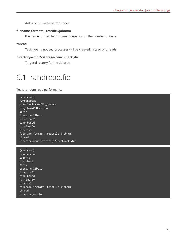disk's actual write performance.

#### **filename\_format=\_\_testfile'\$jobnum'**

File name format. In this case it depends on the number of tasks.

#### **thread**

Task type. If not set, processes will be created instead of threads.

#### **directory=/mnt/vstorage/benchmark\_dir**

Target directory for the dataset.

### <span id="page-15-0"></span>6.1 randread.fio

Tests random read performance.

[randread] rw=randread size=2x<RAM>/<CPU\_cores> numjobs=<CPU\_cores> bs=4k ioengine=libaio iodepth=32 time\_based runtime=60 direct=1 filename\_format=\_\_testfile'\$jobnum' thread directory=/mnt/vstorage/benchmark\_dir

[randread] rw=randread size=4g numjobs=4 bs=4k ioengine=libaio iodepth=32 time\_based runtime=60 direct=1 filename\_format=\_\_testfile'\$jobnum' thread directory=/sdb/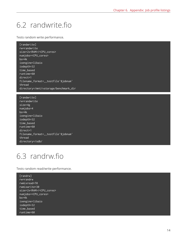### <span id="page-16-0"></span>6.2 randwrite.fio

Tests random write performance.

[randwrite] rw=randwrite size=2x<RAM>/<CPU\_cores> numjobs=<CPU\_cores> bs=4k ioengine=libaio iodepth=32 time\_based runtime=60 direct=1 filename\_format=\_\_testfile'\$jobnum' thread directory=/mnt/vstorage/benchmark\_dir

[randwrite] rw=randwrite size=4g numjobs=4 bs=4k ioengine=libaio iodepth=32 time\_based runtime=60 direct=1 filename\_format=\_\_testfile'\$jobnum' thread directory=/sdb/

### <span id="page-16-1"></span>6.3 randrw.fio

Tests random read/write performance.

[randrw] rw=randrw rwmixread=70 rwmixwrite=30 size=2x<RAM>/<CPU\_cores> numjobs=<CPU\_cores> bs=4k ioengine=libaio iodepth=32 time\_based runtime=60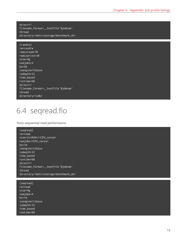direct=1 filename\_format=\_\_testfile'\$jobnum' thread directory=/mnt/vstorage/benchmark\_dir

#### [randrw]

rw=randrw rwmixread=70 rwmixwrite=30 size=4g numjobs=4 bs=4k ioengine=libaio iodepth=32 time\_based runtime=60 direct=1 filename\_format=\_\_testfile'\$jobnum' thread directory=/sdb/

### <span id="page-17-0"></span>6.4 seqread.fio

Tests sequential read performance.

```
[seqread]
rw=read
size=2x<RAM>/<CPU_cores>
numjobs=<CPU_cores>
bs=1m
ioengine=libaio
iodepth=32
time_based
runtime=60
direct=1
filename_format=__testfile'$jobnum'
thread
directory=/mnt/vstorage/benchmark_dir
```
[seqread] rw=read size=4g numjobs=4 bs=1m ioengine=libaio iodepth=32 time\_based runtime=60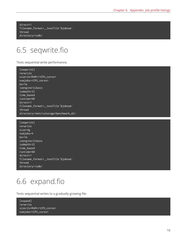direct=1 filename\_format=\_\_testfile'\$jobnum' thread directory=/sdb/

### <span id="page-18-0"></span>6.5 seqwrite.fio

Tests sequential write performance.

- [seqwrite] rw=write size=2x<RAM>/<CPU\_cores> numjobs=<CPU\_cores> bs=1m ioengine=libaio iodepth=32 time\_based runtime=60 direct=1 filename\_format=\_\_testfile'\$jobnum' thread directory=/mnt/vstorage/benchmark\_dir
- [seqwrite] rw=write size=4g numjobs=4 bs=1m ioengine=libaio iodepth=32 time\_based runtime=60 direct=1 filename\_format=\_\_testfile'\$jobnum' thread directory=/sdb/

### <span id="page-18-1"></span>6.6 expand.fio

Tests sequential writes to a gradually growing file.

[expand] rw=write size=2x<RAM>/<CPU\_cores> numjobs=<CPU\_cores>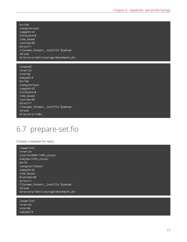bs=16m ioengine=sync iodepth=32 fallocate=0 time\_based runtime=60 direct=1 filename\_format=\_\_testfile'\$jobnum' thread directory=/mnt/vstorage/benchmark\_dir

[expand] rw=write size=4g numjobs=4 bs=16m ioengine=sync iodepth=32 fallocate=0 time\_based runtime=60 direct=1 filename\_format=\_\_testfile'\$jobnum' thread directory=/sdb/

### <span id="page-19-0"></span>6.7 prepare-set.fio

#### Creates a dataset for tests.

[seqwrite]  $r$ w=write size=2x<RAM>/<CPU\_cores> numjobs=<CPU\_cores> bs=1m ioengine=libaio iodepth=32 time\_based #runtime=60  $\overline{\text{direct}}$ filename\_format=\_\_testfile'\$jobnum' thread directory=/mnt/vstorage/benchmark\_dir

[seqwrite] rw=write size=4g numjobs=4